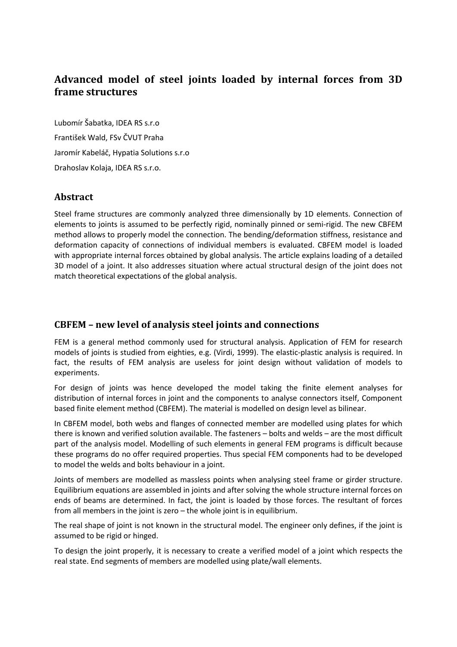# **Advanced model of steel joints loaded by internal forces from 3D frame structures**

Lubomír Šabatka, IDEA RS s.r.o František Wald, FSv ČVUT Praha Jaromír Kabeláč, Hypatia Solutions s.r.o Drahoslav Kolaja, IDEA RS s.r.o.

# **Abstract**

Steel frame structures are commonly analyzed three dimensionally by 1D elements. Connection of elements to joints is assumed to be perfectly rigid, nominally pinned or semi-rigid. The new CBFEM method allows to properly model the connection. The bending/deformation stiffness, resistance and deformation capacity of connections of individual members is evaluated. CBFEM model is loaded with appropriate internal forces obtained by global analysis. The article explains loading of a detailed 3D model of a joint. It also addresses situation where actual structural design of the joint does not match theoretical expectations of the global analysis.

# **CBFEM – new level of analysis steel joints and connections**

FEM is a general method commonly used for structural analysis. Application of FEM for research models of joints is studied from eighties, e.g. (Virdi, 1999). The elastic-plastic analysis is required. In fact, the results of FEM analysis are useless for joint design without validation of models to experiments.

For design of joints was hence developed the model taking the finite element analyses for distribution of internal forces in joint and the components to analyse connectors itself, Component based finite element method (CBFEM). The material is modelled on design level as bilinear.

In CBFEM model, both webs and flanges of connected member are modelled using plates for which there is known and verified solution available. The fasteners – bolts and welds – are the most difficult part of the analysis model. Modelling of such elements in general FEM programs is difficult because these programs do no offer required properties. Thus special FEM components had to be developed to model the welds and bolts behaviour in a joint.

Joints of members are modelled as massless points when analysing steel frame or girder structure. Equilibrium equations are assembled in joints and after solving the whole structure internal forces on ends of beams are determined. In fact, the joint is loaded by those forces. The resultant of forces from all members in the joint is zero – the whole joint is in equilibrium.

The real shape of joint is not known in the structural model. The engineer only defines, if the joint is assumed to be rigid or hinged.

To design the joint properly, it is necessary to create a verified model of a joint which respects the real state. End segments of members are modelled using plate/wall elements.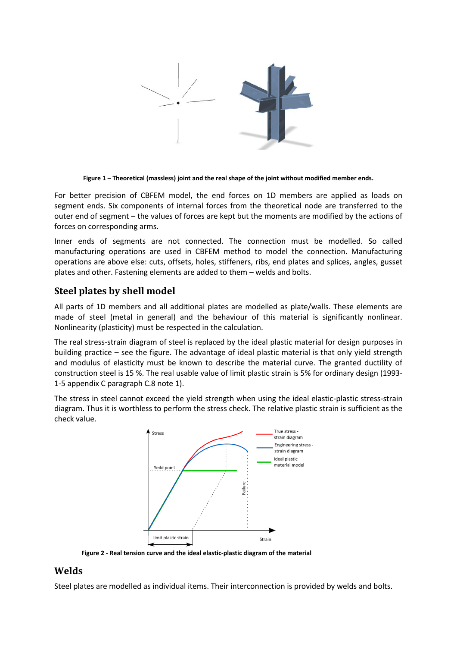

**Figure 1 – Theoretical (massless) joint and the real shape of the joint without modified member ends.**

For better precision of CBFEM model, the end forces on 1D members are applied as loads on segment ends. Six components of internal forces from the theoretical node are transferred to the outer end of segment – the values of forces are kept but the moments are modified by the actions of forces on corresponding arms.

Inner ends of segments are not connected. The connection must be modelled. So called manufacturing operations are used in CBFEM method to model the connection. Manufacturing operations are above else: cuts, offsets, holes, stiffeners, ribs, end plates and splices, angles, gusset plates and other. Fastening elements are added to them – welds and bolts.

# **Steel plates by shell model**

All parts of 1D members and all additional plates are modelled as plate/walls. These elements are made of steel (metal in general) and the behaviour of this material is significantly nonlinear. Nonlinearity (plasticity) must be respected in the calculation.

The real stress-strain diagram of steel is replaced by the ideal plastic material for design purposes in building practice – see the figure. The advantage of ideal plastic material is that only yield strength and modulus of elasticity must be known to describe the material curve. The granted ductility of construction steel is 15 %. The real usable value of limit plastic strain is 5% for ordinary design (1993- 1-5 appendix C paragraph C.8 note 1).

The stress in steel cannot exceed the yield strength when using the ideal elastic-plastic stress-strain diagram. Thus it is worthless to perform the stress check. The relative plastic strain is sufficient as the check value.



**Figure 2 - Real tension curve and the ideal elastic-plastic diagram of the material**

## **Welds**

Steel plates are modelled as individual items. Their interconnection is provided by welds and bolts.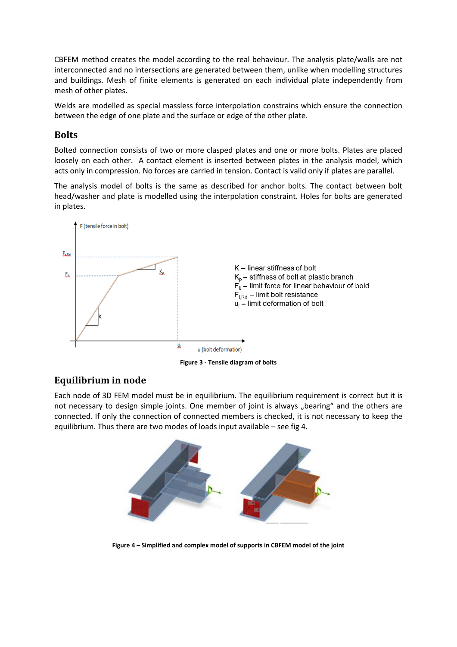CBFEM method creates the model according to the real behaviour. The analysis plate/walls are not interconnected and no intersections are generated between them, unlike when modelling structures and buildings. Mesh of finite elements is generated on each individual plate independently from mesh of other plates.

Welds are modelled as special massless force interpolation constrains which ensure the connection between the edge of one plate and the surface or edge of the other plate.

# **Bolts**

Bolted connection consists of two or more clasped plates and one or more bolts. Plates are placed loosely on each other. A contact element is inserted between plates in the analysis model, which acts only in compression. No forces are carried in tension. Contact is valid only if plates are parallel.

The analysis model of bolts is the same as described for anchor bolts. The contact between bolt head/washer and plate is modelled using the interpolation constraint. Holes for bolts are generated in plates.



**Figure 3 - Tensile diagram of bolts**

# **Equilibrium in node**

Each node of 3D FEM model must be in equilibrium. The equilibrium requirement is correct but it is not necessary to design simple joints. One member of joint is always "bearing" and the others are connected. If only the connection of connected members is checked, it is not necessary to keep the equilibrium. Thus there are two modes of loads input available – see fig 4.



**Figure 4 – Simplified and complex model of supports in CBFEM model of the joint**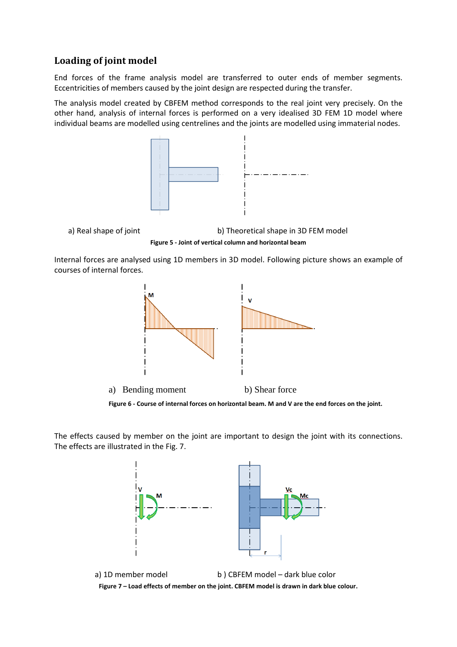# **Loading of joint model**

End forces of the frame analysis model are transferred to outer ends of member segments. Eccentricities of members caused by the joint design are respected during the transfer.

The analysis model created by CBFEM method corresponds to the real joint very precisely. On the other hand, analysis of internal forces is performed on a very idealised 3D FEM 1D model where individual beams are modelled using centrelines and the joints are modelled using immaterial nodes.





Internal forces are analysed using 1D members in 3D model. Following picture shows an example of courses of internal forces.



The effects caused by member on the joint are important to design the joint with its connections. The effects are illustrated in the Fig. 7.



a) 1D member model b ) CBFEM model – dark blue color **Figure 7 – Load effects of member on the joint. CBFEM model is drawn in dark blue colour.**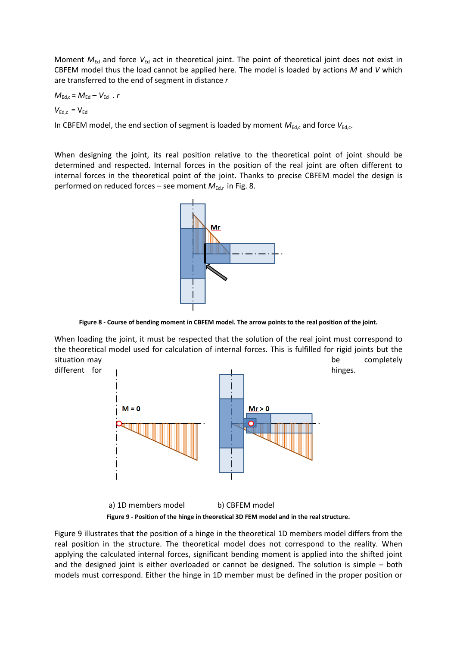Moment  $M_{\text{Ed}}$  and force  $V_{\text{Ed}}$  act in theoretical joint. The point of theoretical joint does not exist in CBFEM model thus the load cannot be applied here. The model is loaded by actions *M* and *V* which are transferred to the end of segment in distance *r*

$$
M_{\text{Ed,c}} = M_{\text{Ed}} - V_{\text{Ed}} \cdot r
$$

 $V_{\text{Ed.c}} = V_{\text{Ed}}$ 

In CBFEM model, the end section of segment is loaded by moment  $M_{Ed,c}$  and force  $V_{Ed,c}$ .

When designing the joint, its real position relative to the theoretical point of joint should be determined and respected. Internal forces in the position of the real joint are often different to internal forces in the theoretical point of the joint. Thanks to precise CBFEM model the design is performed on reduced forces - see moment  $M_{Ed,r}$  in Fig. 8.



**Figure 8 - Course of bending moment in CBFEM model. The arrow points to the real position of the joint.**

When loading the joint, it must be respected that the solution of the real joint must correspond to the theoretical model used for calculation of internal forces. This is fulfilled for rigid joints but the situation may be completely



**Figure 9 - Position of the hinge in theoretical 3D FEM model and in the real structure.**

Figure 9 illustrates that the position of a hinge in the theoretical 1D members model differs from the real position in the structure. The theoretical model does not correspond to the reality. When applying the calculated internal forces, significant bending moment is applied into the shifted joint and the designed joint is either overloaded or cannot be designed. The solution is simple – both models must correspond. Either the hinge in 1D member must be defined in the proper position or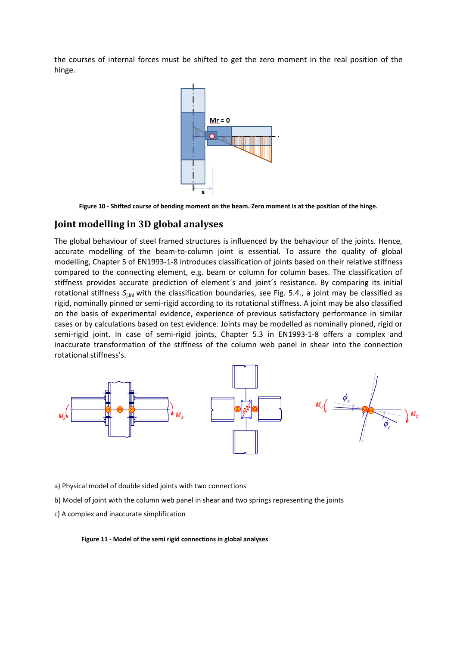the courses of internal forces must be shifted to get the zero moment in the real position of the hinge.



**Figure 10 - Shifted course of bending moment on the beam. Zero moment is at the position of the hinge.**

## **Joint modelling in 3D global analyses**

The global behaviour of steel framed structures is influenced by the behaviour of the joints. Hence, accurate modelling of the beam-to-column joint is essential. To assure the quality of global modelling, Chapter 5 of EN1993-1-8 introduces classification of joints based on their relative stiffness compared to the connecting element, e.g. beam or column for column bases. The classification of stiffness provides accurate prediction of element´s and joint´s resistance. By comparing its initial rotational stiffness S<sub>i,ini</sub> with the classification boundaries, see Fig. 5.4., a joint may be classified as rigid, nominally pinned or semi-rigid according to its rotational stiffness. A joint may be also classified on the basis of experimental evidence, experience of previous satisfactory performance in similar cases or by calculations based on test evidence. Joints may be modelled as nominally pinned, rigid or semi-rigid joint. In case of semi-rigid joints, Chapter 5.3 in EN1993-1-8 offers a complex and inaccurate transformation of the stiffness of the column web panel in shear into the connection rotational stiffness's.



- a) Physical model of double sided joints with two connections
- b) Model of joint with the column web panel in shear and two springs representing the joints
- c) A complex and inaccurate simplification

#### **Figure 11 - Model of the semi rigid connections in global analyses**